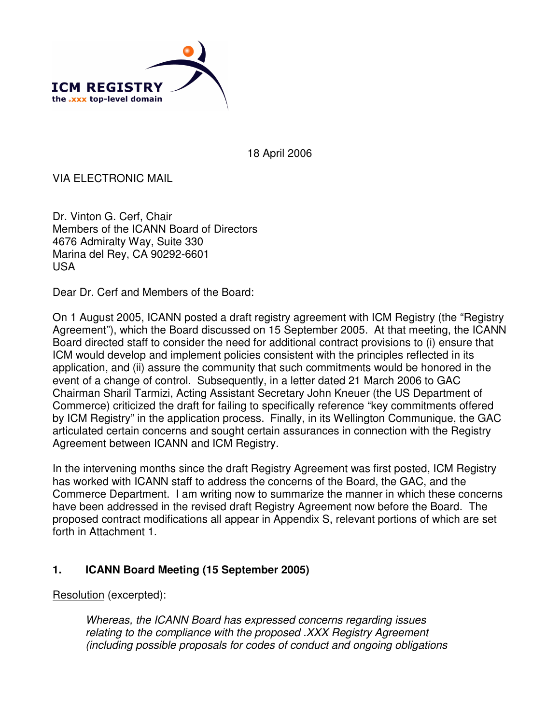

18 April 2006

VIA ELECTRONIC MAIL

Dr. Vinton G. Cerf, Chair Members of the ICANN Board of Directors 4676 Admiralty Way, Suite 330 Marina del Rey, CA 90292-6601 USA

Dear Dr. Cerf and Members of the Board:

On 1 August 2005, ICANN posted a draft registry agreement with ICM Registry (the "Registry Agreement"), which the Board discussed on 15 September 2005. At that meeting, the ICANN Board directed staff to consider the need for additional contract provisions to (i) ensure that ICM would develop and implement policies consistent with the principles reflected in its application, and (ii) assure the community that such commitments would be honored in the event of a change of control. Subsequently, in a letter dated 21 March 2006 to GAC Chairman Sharil Tarmizi, Acting Assistant Secretary John Kneuer (the US Department of Commerce) criticized the draft for failing to specifically reference "key commitments offered by ICM Registry" in the application process. Finally, in its Wellington Communique, the GAC articulated certain concerns and sought certain assurances in connection with the Registry Agreement between ICANN and ICM Registry.

In the intervening months since the draft Registry Agreement was first posted, ICM Registry has worked with ICANN staff to address the concerns of the Board, the GAC, and the Commerce Department. I am writing now to summarize the manner in which these concerns have been addressed in the revised draft Registry Agreement now before the Board. The proposed contract modifications all appear in Appendix S, relevant portions of which are set forth in Attachment 1.

## **1. ICANN Board Meeting (15 September 2005)**

Resolution (excerpted):

*Whereas, the ICANN Board has expressed concerns regarding issues relating to the compliance with the proposed .XXX Registry Agreement (including possible proposals for codes of conduct and ongoing obligations*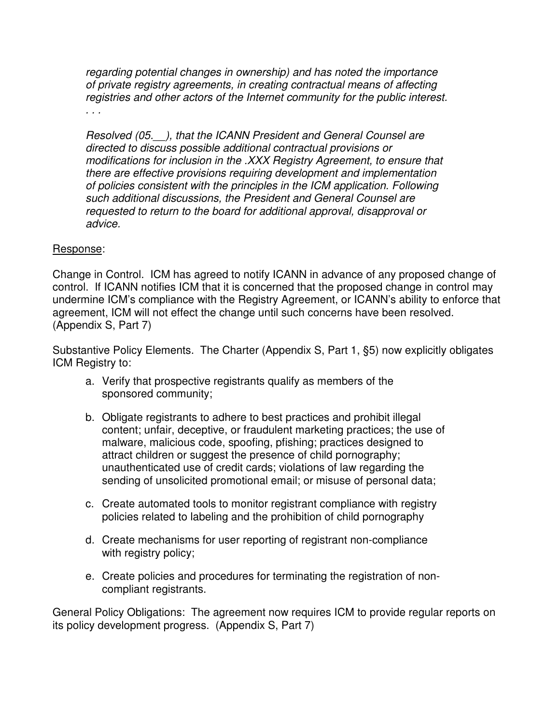*regarding potential changes in ownership) and has noted the importance of private registry agreements, in creating contractual means of affecting registries and other actors of the Internet community for the public interest.*

*. . .*

*Resolved (05.\_\_), that the ICANN President and General Counsel are directed to discuss possible additional contractual provisions or modifications for inclusion in the .XXX Registry Agreement, to ensure that there are effective provisions requiring development and implementation of policies consistent with the principles in the ICM application. Following such additional discussions, the President and General Counsel are requested to return to the board for additional approval, disapproval or advice.*

#### Response:

Change in Control. ICM has agreed to notify ICANN in advance of any proposed change of control. If ICANN notifies ICM that it is concerned that the proposed change in control may undermine ICM's compliance with the Registry Agreement, or ICANN's ability to enforce that agreement, ICM will not effect the change until such concerns have been resolved. (Appendix S, Part 7)

Substantive Policy Elements. The Charter (Appendix S, Part 1, §5) now explicitly obligates ICM Registry to:

- a. Verify that prospective registrants qualify as members of the sponsored community;
- b. Obligate registrants to adhere to best practices and prohibit illegal content; unfair, deceptive, or fraudulent marketing practices; the use of malware, malicious code, spoofing, pfishing; practices designed to attract children or suggest the presence of child pornography; unauthenticated use of credit cards; violations of law regarding the sending of unsolicited promotional email; or misuse of personal data;
- c. Create automated tools to monitor registrant compliance with registry policies related to labeling and the prohibition of child pornography
- d. Create mechanisms for user reporting of registrant non-compliance with registry policy;
- e. Create policies and procedures for terminating the registration of noncompliant registrants.

General Policy Obligations: The agreement now requires ICM to provide regular reports on its policy development progress. (Appendix S, Part 7)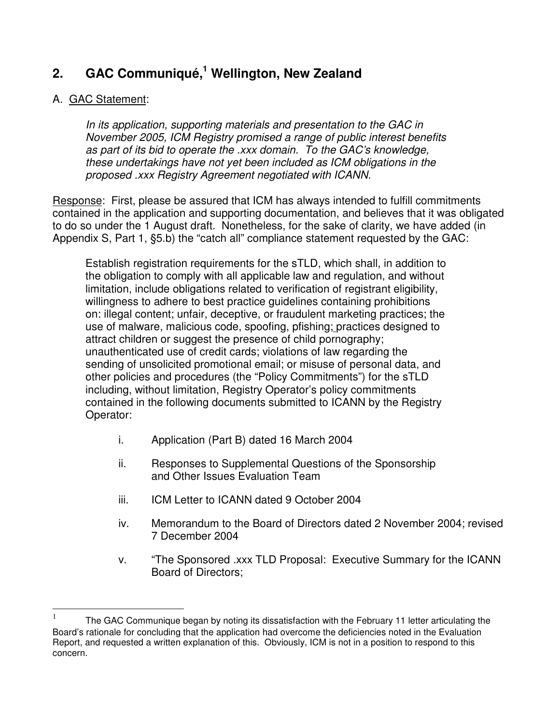## **2. GAC Communiqué, <sup>1</sup> Wellington, New Zealand**

## A. GAC Statement:

*In its application, supporting materials and presentation to the GAC in November 2005, ICM Registry promised a range of public interest benefits as part of its bid to operate the .xxx domain. To the GAC's knowledge, these undertakings have not yet been included as ICM obligations in the proposed .xxx Registry Agreement negotiated with ICANN.*

Response: First, please be assured that ICM has always intended to fulfill commitments contained in the application and supporting documentation, and believes that it was obligated to do so under the 1 August draft. Nonetheless, for the sake of clarity, we have added (in Appendix S, Part 1, §5.b) the "catch all" compliance statement requested by the GAC:

Establish registration requirements for the sTLD, which shall, in addition to the obligation to comply with all applicable law and regulation, and without limitation, include obligations related to verification of registrant eligibility, willingness to adhere to best practice guidelines containing prohibitions on: illegal content; unfair, deceptive, or fraudulent marketing practices; the use of malware, malicious code, spoofing, pfishing; practices designed to attract children or suggest the presence of child pornography; unauthenticated use of credit cards; violations of law regarding the sending of unsolicited promotional email; or misuse of personal data, and other policies and procedures (the "Policy Commitments") for the sTLD including, without limitation, Registry Operator's policy commitments contained in the following documents submitted to ICANN by the Registry Operator:

- i. Application (Part B) dated 16 March 2004
- ii. Responses to Supplemental Questions of the Sponsorship and Other Issues Evaluation Team
- iii. ICM Letter to ICANN dated 9 October 2004
- iv. Memorandum to the Board of Directors dated 2 November 2004; revised 7 December 2004
- v. "The Sponsored .xxx TLD Proposal: Executive Summary for the ICANN Board of Directors;

<sup>|&</sup>lt;br>|<br>| The GAC Communique began by noting its dissatisfaction with the February 11 letter articulating the Board's rationale for concluding that the application had overcome the deficiencies noted in the Evaluation Report, and requested a written explanation of this. Obviously, ICM is not in a position to respond to this concern.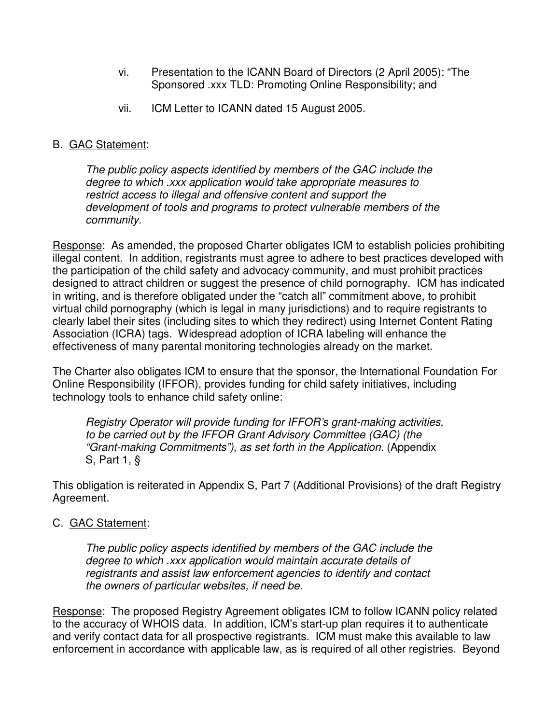- vi. Presentation to the ICANN Board of Directors (2 April 2005): "The Sponsored .xxx TLD: Promoting Online Responsibility; and
- vii. ICM Letter to ICANN dated 15 August 2005.

### B. GAC Statement:

*The public policy aspects identified by members of the GAC include the degree to which .xxx application would take appropriate measures to restrict access to illegal and offensive content and support the development of tools and programs to protect vulnerable members of the community.*

Response: As amended, the proposed Charter obligates ICM to establish policies prohibiting illegal content. In addition, registrants must agree to adhere to best practices developed with the participation of the child safety and advocacy community, and must prohibit practices designed to attract children or suggest the presence of child pornography. ICM has indicated in writing, and is therefore obligated under the "catch all" commitment above, to prohibit virtual child pornography (which is legal in many jurisdictions) and to require registrants to clearly label their sites (including sites to which they redirect) using Internet Content Rating Association (ICRA) tags. Widespread adoption of ICRA labeling will enhance the effectiveness of many parental monitoring technologies already on the market.

The Charter also obligates ICM to ensure that the sponsor, the International Foundation For Online Responsibility (IFFOR), provides funding for child safety initiatives, including technology tools to enhance child safety online:

*Registry Operator will provide funding for IFFOR's grant-making activities, to be carried out by the IFFOR Grant Advisory Committee (GAC) (the "Grant-making Commitments"), as set forth in the Application.* (Appendix S, Part 1, §

This obligation is reiterated in Appendix S, Part 7 (Additional Provisions) of the draft Registry Agreement.

### C. GAC Statement:

*The public policy aspects identified by members of the GAC include the degree to which .xxx application would maintain accurate details of registrants and assist law enforcement agencies to identify and contact the owners of particular websites, if need be.*

Response: The proposed Registry Agreement obligates ICM to follow ICANN policy related to the accuracy of WHOIS data. In addition, ICM's start-up plan requires it to authenticate and verify contact data for all prospective registrants. ICM must make this available to law enforcement in accordance with applicable law, as is required of all other registries. Beyond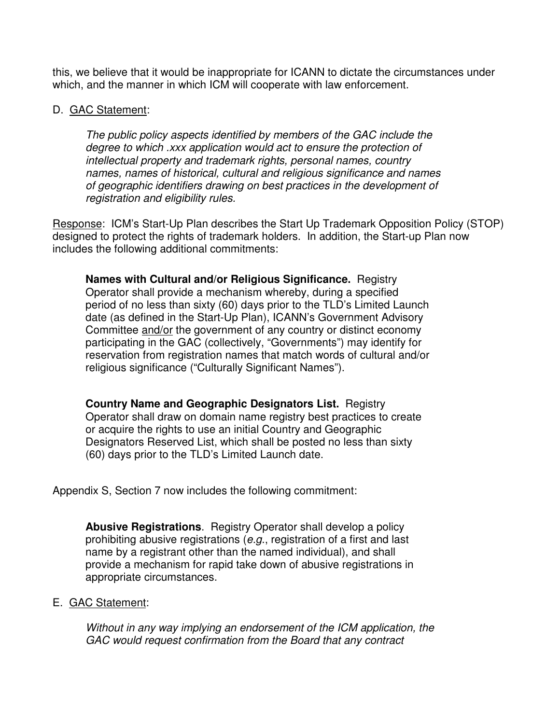this, we believe that it would be inappropriate for ICANN to dictate the circumstances under which, and the manner in which ICM will cooperate with law enforcement.

#### D. GAC Statement:

*The public policy aspects identified by members of the GAC include the degree to which .xxx application would act to ensure the protection of intellectual property and trademark rights, personal names, country names, names of historical, cultural and religious significance and names of geographic identifiers drawing on best practices in the development of registration and eligibility rules.*

Response: ICM's Start-Up Plan describes the Start Up Trademark Opposition Policy (STOP) designed to protect the rights of trademark holders. In addition, the Start-up Plan now includes the following additional commitments:

**Names with Cultural and/or Religious Significance.** Registry Operator shall provide a mechanism whereby, during a specified period of no less than sixty (60) days prior to the TLD's Limited Launch date (as defined in the Start-Up Plan), ICANN's Government Advisory Committee and/or the government of any country or distinct economy participating in the GAC (collectively, "Governments") may identify for reservation from registration names that match words of cultural and/or religious significance ("Culturally Significant Names").

**Country Name and Geographic Designators List.** Registry Operator shall draw on domain name registry best practices to create or acquire the rights to use an initial Country and Geographic Designators Reserved List, which shall be posted no less than sixty (60) days prior to the TLD's Limited Launch date.

Appendix S, Section 7 now includes the following commitment:

**Abusive Registrations**. Registry Operator shall develop a policy prohibiting abusive registrations (*e.g*., registration of a first and last name by a registrant other than the named individual), and shall provide a mechanism for rapid take down of abusive registrations in appropriate circumstances.

#### E. GAC Statement:

*Without in any way implying an endorsement of the ICM application, the GAC would request confirmation from the Board that any contract*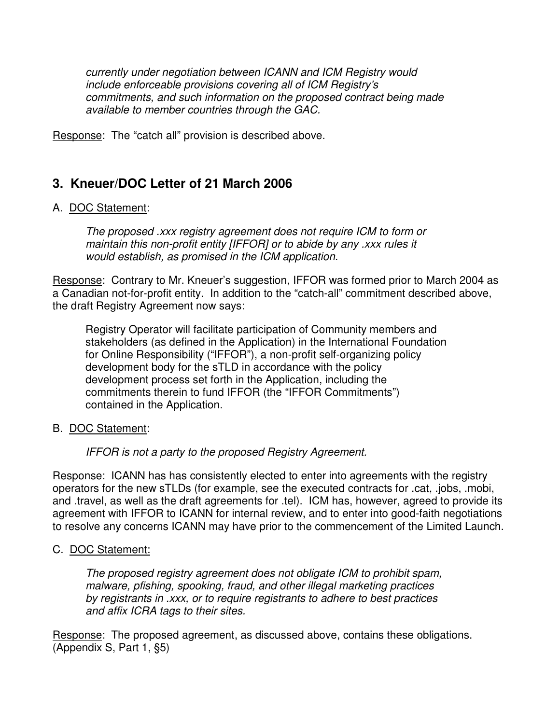*currently under negotiation between ICANN and ICM Registry would include enforceable provisions covering all of ICM Registry's commitments, and such information on the proposed contract being made available to member countries through the GAC.*

Response: The "catch all" provision is described above.

## **3. Kneuer/DOC Letter of 21 March 2006**

### A. DOC Statement:

*The proposed .xxx registry agreement does not require ICM to form or maintain this non-profit entity [IFFOR] or to abide by any .xxx rules it would establish, as promised in the ICM application.*

Response: Contrary to Mr. Kneuer's suggestion, IFFOR was formed prior to March 2004 as a Canadian not-for-profit entity. In addition to the "catch-all" commitment described above, the draft Registry Agreement now says:

Registry Operator will facilitate participation of Community members and stakeholders (as defined in the Application) in the International Foundation for Online Responsibility ("IFFOR"), a non-profit self-organizing policy development body for the sTLD in accordance with the policy development process set forth in the Application, including the commitments therein to fund IFFOR (the "IFFOR Commitments") contained in the Application.

#### B. DOC Statement:

*IFFOR is not a party to the proposed Registry Agreement.*

Response: ICANN has has consistently elected to enter into agreements with the registry operators for the new sTLDs (for example, see the executed contracts for .cat, .jobs, .mobi, and .travel, as well as the draft agreements for .tel). ICM has, however, agreed to provide its agreement with IFFOR to ICANN for internal review, and to enter into good-faith negotiations to resolve any concerns ICANN may have prior to the commencement of the Limited Launch.

#### C. DOC Statement:

*The proposed registry agreement does not obligate ICM to prohibit spam, malware, pfishing, spooking, fraud, and other illegal marketing practices by registrants in .xxx, or to require registrants to adhere to best practices and affix ICRA tags to their sites.*

Response: The proposed agreement, as discussed above, contains these obligations. (Appendix S, Part 1, §5)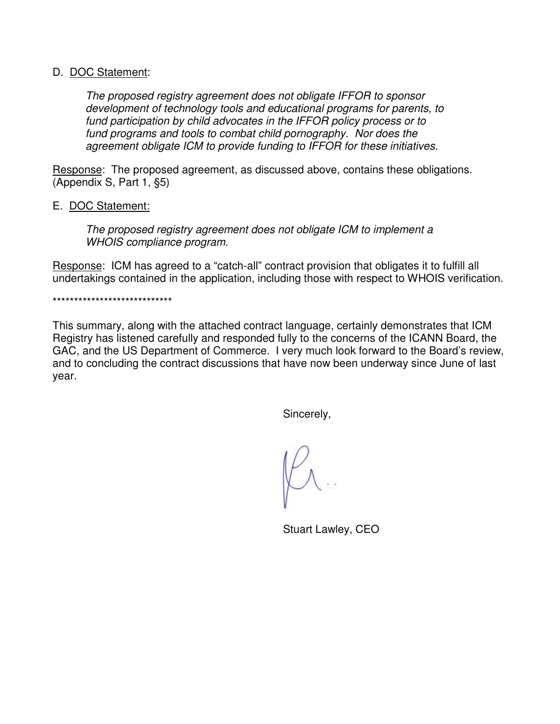#### D. DOC Statement:

*The proposed registry agreement does not obligate IFFOR to sponsor development of technology tools and educational programs for parents, to fund participation by child advocates in the IFFOR policy process or to fund programs and tools to combat child pornography. Nor does the agreement obligate ICM to provide funding to IFFOR for these initiatives.*

Response: The proposed agreement, as discussed above, contains these obligations. (Appendix S, Part 1, §5)

#### E. DOC Statement:

*The proposed registry agreement does not obligate ICM to implement a WHOIS compliance program.*

Response: ICM has agreed to a "catch-all" contract provision that obligates it to fulfill all undertakings contained in the application, including those with respect to WHOIS verification.

\*\*\*\*\*\*\*\*\*\*\*\*\*\*\*\*\*\*\*\*\*\*\*\*\*\*\*\*

This summary, along with the attached contract language, certainly demonstrates that ICM Registry has listened carefully and responded fully to the concerns of the ICANN Board, the GAC, and the US Department of Commerce. I very much look forward to the Board's review, and to concluding the contract discussions that have now been underway since June of last year.

Sincerely,

Stuart Lawley, CEO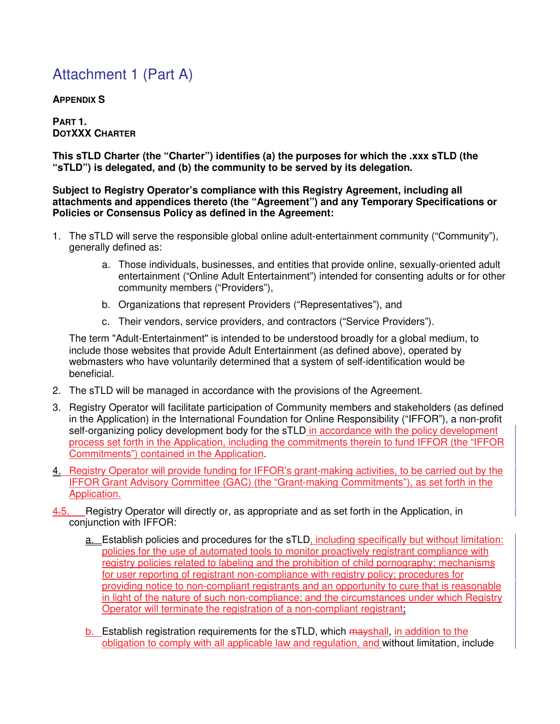## Attachment 1 (Part A)

**APPENDIX S**

**PART 1. DOTXXX CHARTER**

**This sTLD Charter (the "Charter") identifies (a) the purposes for which the .xxx sTLD (the "sTLD") is delegated, and (b) the community to be served by its delegation.**

**Subject to Registry Operator's compliance with this Registry Agreement, including all attachments and appendices thereto (the "Agreement") and any Temporary Specifications or Policies or Consensus Policy as defined in the Agreement:**

- 1. The sTLD will serve the responsible global online adult-entertainment community ("Community"), generally defined as:
	- a. Those individuals, businesses, and entities that provide online, sexually-oriented adult entertainment ("Online Adult Entertainment") intended for consenting adults or for other community members ("Providers"),
	- b. Organizations that represent Providers ("Representatives"), and
	- c. Their vendors, service providers, and contractors ("Service Providers").

The term "Adult-Entertainment" is intended to be understood broadly for a global medium, to include those websites that provide Adult Entertainment (as defined above), operated by webmasters who have voluntarily determined that a system of self-identification would be beneficial.

- 2. The sTLD will be managed in accordance with the provisions of the Agreement.
- 3. Registry Operator will facilitate participation of Community members and stakeholders (as defined in the Application) in the International Foundation for Online Responsibility ("IFFOR"), a non-profit self-organizing policy development body for the sTLD in accordance with the policy development process set forth in the Application, including the commitments therein to fund IFFOR (the "IFFOR Commitments") contained in the Application.
- 4. Registry Operator will provide funding for IFFOR's grant-making activities, to be carried out by the IFFOR Grant Advisory Committee (GAC) (the "Grant-making Commitments"), as set forth in the Application.
- 4.5. Registry Operator will directly or, as appropriate and as set forth in the Application, in conjunction with IFFOR:
	- a. Establish policies and procedures for the sTLD, including specifically but without limitation: policies for the use of automated tools to monitor proactively registrant compliance with registry policies related to labeling and the prohibition of child pornography; mechanisms for user reporting of registrant non-compliance with registry policy; procedures for providing notice to non-compliant registrants and an opportunity to cure that is reasonable in light of the nature of such non-compliance; and the circumstances under which Registry Operator will terminate the registration of a non-compliant registrant;
	- b. Establish registration requirements for the sTLD, which mayshall, in addition to the obligation to comply with all applicable law and regulation, and without limitation, include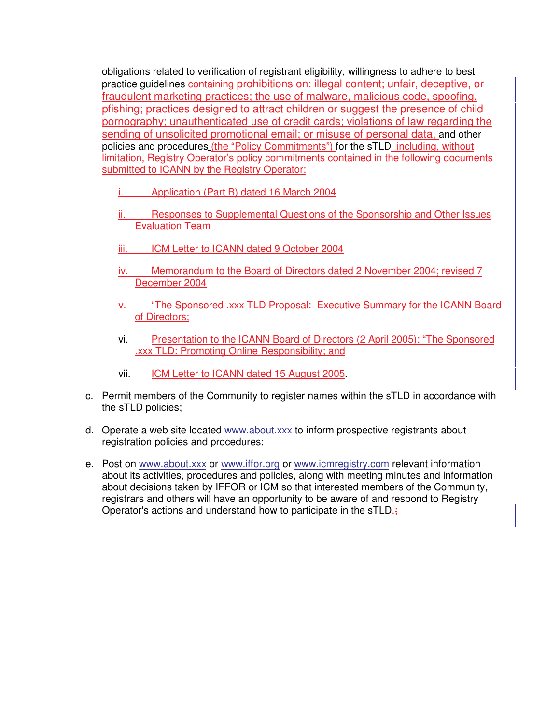obligations related to verification of registrant eligibility, willingness to adhere to best practice guidelines containing prohibitions on: illegal content; unfair, deceptive, or fraudulent marketing practices; the use of malware, malicious code, spoofing, pfishing; practices designed to attract children or suggest the presence of child pornography; unauthenticated use of credit cards; violations of law regarding the sending of unsolicited promotional email; or misuse of personal data, and other policies and procedures (the "Policy Commitments") for the sTLD including, without limitation, Registry Operator's policy commitments contained in the following documents submitted to ICANN by the Registry Operator:

- Application (Part B) dated 16 March 2004
- ii. Responses to Supplemental Questions of the Sponsorship and Other Issues Evaluation Team
- iii. **ICM Letter to ICANN dated 9 October 2004**
- iv. Memorandum to the Board of Directors dated 2 November 2004; revised 7 December 2004
- "The Sponsored .xxx TLD Proposal: Executive Summary for the ICANN Board of Directors;
- vi. Presentation to the ICANN Board of Directors (2 April 2005): "The Sponsored .xxx TLD: Promoting Online Responsibility; and
- vii. ICM Letter to ICANN dated 15 August 2005.
- c. Permit members of the Community to register names within the sTLD in accordance with the sTLD policies;
- d. Operate a web site located www.about.xxx to inform prospective registrants about registration policies and procedures;
- e. Post on www.about.xxx or www.iffor.org or www.icmregistry.com relevant information about its activities, procedures and policies, along with meeting minutes and information about decisions taken by IFFOR or ICM so that interested members of the Community, registrars and others will have an opportunity to be aware of and respond to Registry Operator's actions and understand how to participate in the sTLD.;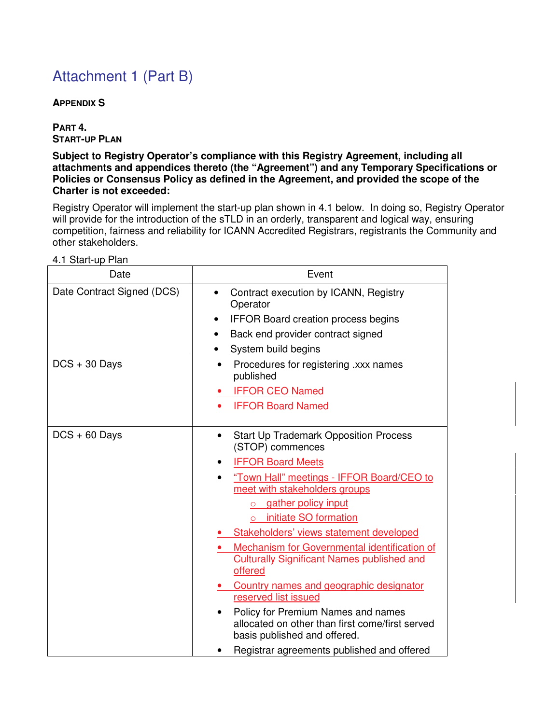# Attachment 1 (Part B)

#### **APPENDIX S**

**PART 4. START-UP PLAN**

**Subject to Registry Operator's compliance with this Registry Agreement, including all attachments and appendices thereto (the "Agreement") and any Temporary Specifications or Policies or Consensus Policy as defined in the Agreement, and provided the scope of the Charter is not exceeded:**

Registry Operator will implement the start-up plan shown in 4.1 below. In doing so, Registry Operator will provide for the introduction of the sTLD in an orderly, transparent and logical way, ensuring competition, fairness and reliability for ICANN Accredited Registrars, registrants the Community and other stakeholders.

| Date                       | Event                                                                                                                 |
|----------------------------|-----------------------------------------------------------------------------------------------------------------------|
| Date Contract Signed (DCS) | Contract execution by ICANN, Registry<br>$\bullet$<br>Operator<br><b>IFFOR Board creation process begins</b><br>٠     |
|                            | Back end provider contract signed                                                                                     |
|                            | System build begins                                                                                                   |
| $DCS + 30$ Days            | Procedures for registering .xxx names<br>٠<br>published                                                               |
|                            | <b>IFFOR CEO Named</b>                                                                                                |
|                            | <b>IFFOR Board Named</b>                                                                                              |
| $DCS + 60$ Days            | <b>Start Up Trademark Opposition Process</b><br>$\bullet$<br>(STOP) commences                                         |
|                            | <b>IFFOR Board Meets</b><br>٠                                                                                         |
|                            | "Town Hall" meetings - IFFOR Board/CEO to<br>$\bullet$<br>meet with stakeholders groups                               |
|                            | gather policy input<br>$\Omega$                                                                                       |
|                            | initiate SO formation<br>$\circ$                                                                                      |
|                            | Stakeholders' views statement developed                                                                               |
|                            | Mechanism for Governmental identification of<br><b>Culturally Significant Names published and</b><br>offered          |
|                            | Country names and geographic designator                                                                               |
|                            | reserved list issued                                                                                                  |
|                            | Policy for Premium Names and names<br>allocated on other than first come/first served<br>basis published and offered. |
|                            | Registrar agreements published and offered                                                                            |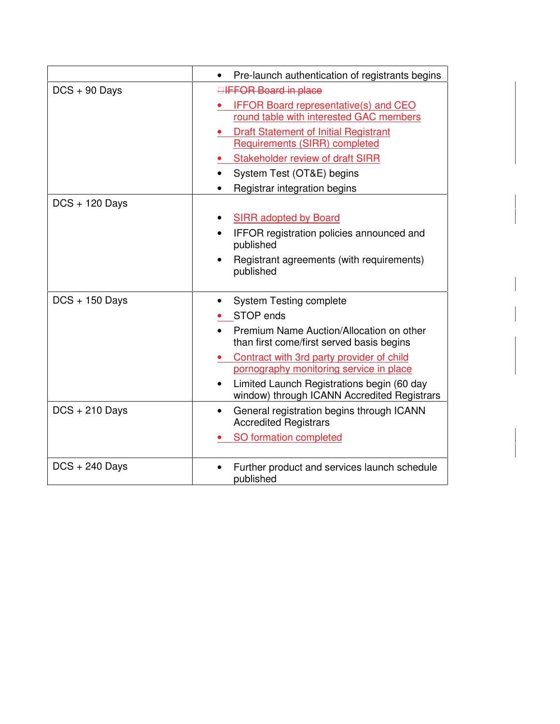|                  | Pre-launch authentication of registrants begins<br>$\bullet$                                                                                                                                                                                                                                                                           |
|------------------|----------------------------------------------------------------------------------------------------------------------------------------------------------------------------------------------------------------------------------------------------------------------------------------------------------------------------------------|
|                  |                                                                                                                                                                                                                                                                                                                                        |
| $DCS + 90$ Days  | <b>EIFFOR Board in place</b><br><b>IFFOR Board representative(s) and CEO</b><br>round table with interested GAC members<br><b>Draft Statement of Initial Registrant</b><br><b>Requirements (SIRR) completed</b><br>Stakeholder review of draft SIRR<br>System Test (OT&E) begins                                                       |
|                  | Registrar integration begins                                                                                                                                                                                                                                                                                                           |
| $DCS + 120$ Days | <b>SIRR adopted by Board</b><br>IFFOR registration policies announced and<br>$\bullet$<br>published<br>Registrant agreements (with requirements)<br>$\bullet$<br>published                                                                                                                                                             |
| $DCS + 150$ Days | <b>System Testing complete</b><br>$\bullet$<br>STOP ends<br>Premium Name Auction/Allocation on other<br>than first come/first served basis begins<br>Contract with 3rd party provider of child<br>pornography monitoring service in place<br>Limited Launch Registrations begin (60 day<br>window) through ICANN Accredited Registrars |
| $DCS + 210$ Days | General registration begins through ICANN<br>$\bullet$<br><b>Accredited Registrars</b><br>SO formation completed                                                                                                                                                                                                                       |
| $DCS + 240$ Days | Further product and services launch schedule<br>published                                                                                                                                                                                                                                                                              |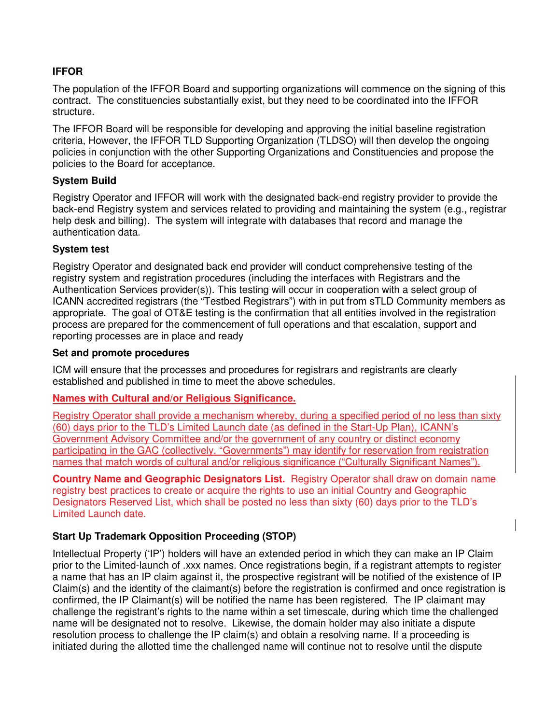#### **IFFOR**

The population of the IFFOR Board and supporting organizations will commence on the signing of this contract. The constituencies substantially exist, but they need to be coordinated into the IFFOR structure.

The IFFOR Board will be responsible for developing and approving the initial baseline registration criteria, However, the IFFOR TLD Supporting Organization (TLDSO) will then develop the ongoing policies in conjunction with the other Supporting Organizations and Constituencies and propose the policies to the Board for acceptance.

#### **System Build**

Registry Operator and IFFOR will work with the designated back-end registry provider to provide the back-end Registry system and services related to providing and maintaining the system (e.g., registrar help desk and billing). The system will integrate with databases that record and manage the authentication data.

#### **System test**

Registry Operator and designated back end provider will conduct comprehensive testing of the registry system and registration procedures (including the interfaces with Registrars and the Authentication Services provider(s)). This testing will occur in cooperation with a select group of ICANN accredited registrars (the "Testbed Registrars") with in put from sTLD Community members as appropriate. The goal of OT&E testing is the confirmation that all entities involved in the registration process are prepared for the commencement of full operations and that escalation, support and reporting processes are in place and ready

#### **Set and promote procedures**

ICM will ensure that the processes and procedures for registrars and registrants are clearly established and published in time to meet the above schedules.

#### **Names with Cultural and/or Religious Significance.**

Registry Operator shall provide a mechanism whereby, during a specified period of no less than sixty (60) days prior to the TLD's Limited Launch date (as defined in the Start-Up Plan), ICANN's Government Advisory Committee and/or the government of any country or distinct economy participating in the GAC (collectively, "Governments") may identify for reservation from registration names that match words of cultural and/or religious significance ("Culturally Significant Names").

**Country Name and Geographic Designators List.** Registry Operator shall draw on domain name registry best practices to create or acquire the rights to use an initial Country and Geographic Designators Reserved List, which shall be posted no less than sixty (60) days prior to the TLD's Limited Launch date.

#### **Start Up Trademark Opposition Proceeding (STOP)**

Intellectual Property ('IP') holders will have an extended period in which they can make an IP Claim prior to the Limited-launch of .xxx names. Once registrations begin, if a registrant attempts to register a name that has an IP claim against it, the prospective registrant will be notified of the existence of IP Claim(s) and the identity of the claimant(s) before the registration is confirmed and once registration is confirmed, the IP Claimant(s) will be notified the name has been registered. The IP claimant may challenge the registrant's rights to the name within a set timescale, during which time the challenged name will be designated not to resolve. Likewise, the domain holder may also initiate a dispute resolution process to challenge the IP claim(s) and obtain a resolving name. If a proceeding is initiated during the allotted time the challenged name will continue not to resolve until the dispute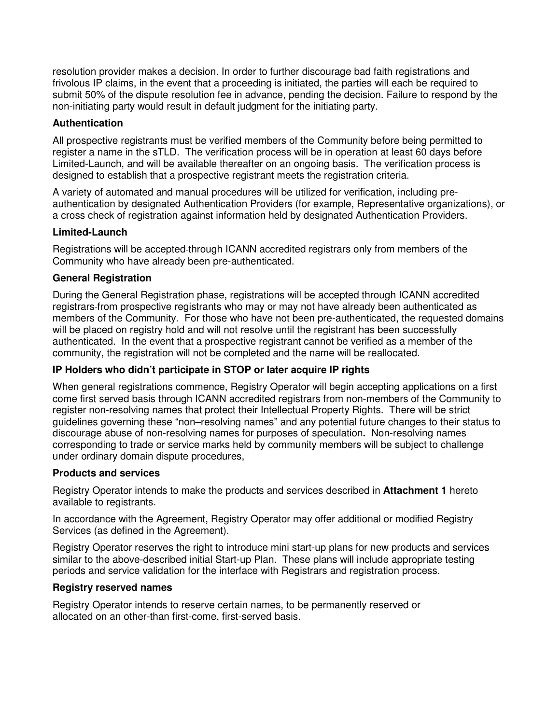resolution provider makes a decision. In order to further discourage bad faith registrations and frivolous IP claims, in the event that a proceeding is initiated, the parties will each be required to submit 50% of the dispute resolution fee in advance, pending the decision. Failure to respond by the non-initiating party would result in default judgment for the initiating party.

#### **Authentication**

All prospective registrants must be verified members of the Community before being permitted to register a name in the sTLD. The verification process will be in operation at least 60 days before Limited-Launch, and will be available thereafter on an ongoing basis. The verification process is designed to establish that a prospective registrant meets the registration criteria.

A variety of automated and manual procedures will be utilized for verification, including preauthentication by designated Authentication Providers (for example, Representative organizations), or a cross check of registration against information held by designated Authentication Providers.

#### **Limited-Launch**

Registrations will be accepted through ICANN accredited registrars only from members of the Community who have already been pre-authenticated.

#### **General Registration**

During the General Registration phase, registrations will be accepted through ICANN accredited registrars from prospective registrants who may or may not have already been authenticated as members of the Community. For those who have not been pre-authenticated, the requested domains will be placed on registry hold and will not resolve until the registrant has been successfully authenticated. In the event that a prospective registrant cannot be verified as a member of the community, the registration will not be completed and the name will be reallocated.

#### **IP Holders who didn't participate in STOP or later acquire IP rights**

When general registrations commence, Registry Operator will begin accepting applications on a first come first served basis through ICANN accredited registrars from non-members of the Community to register non-resolving names that protect their Intellectual Property Rights. There will be strict guidelines governing these "non–resolving names" and any potential future changes to their status to discourage abuse of non-resolving names for purposes of speculation**.** Non-resolving names corresponding to trade or service marks held by community members will be subject to challenge under ordinary domain dispute procedures,

#### **Products and services**

Registry Operator intends to make the products and services described in **Attachment 1** hereto available to registrants.

In accordance with the Agreement, Registry Operator may offer additional or modified Registry Services (as defined in the Agreement).

Registry Operator reserves the right to introduce mini start-up plans for new products and services similar to the above-described initial Start-up Plan. These plans will include appropriate testing periods and service validation for the interface with Registrars and registration process.

#### **Registry reserved names**

Registry Operator intends to reserve certain names, to be permanently reserved or allocated on an other-than first-come, first-served basis.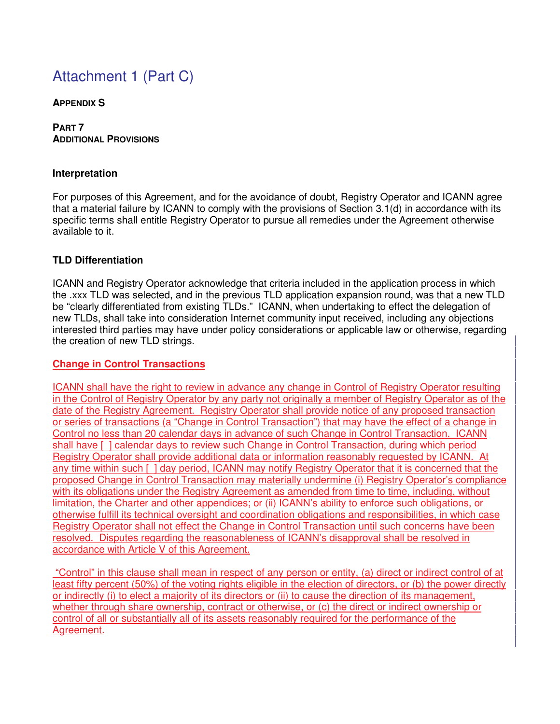## Attachment 1 (Part C)

#### **APPENDIX S**

#### **PART 7 ADDITIONAL PROVISIONS**

#### **Interpretation**

For purposes of this Agreement, and for the avoidance of doubt, Registry Operator and ICANN agree that a material failure by ICANN to comply with the provisions of Section 3.1(d) in accordance with its specific terms shall entitle Registry Operator to pursue all remedies under the Agreement otherwise available to it.

#### **TLD Differentiation**

ICANN and Registry Operator acknowledge that criteria included in the application process in which the .xxx TLD was selected, and in the previous TLD application expansion round, was that a new TLD be "clearly differentiated from existing TLDs." ICANN, when undertaking to effect the delegation of new TLDs, shall take into consideration Internet community input received, including any objections interested third parties may have under policy considerations or applicable law or otherwise, regarding the creation of new TLD strings.

#### **Change in Control Transactions**

ICANN shall have the right to review in advance any change in Control of Registry Operator resulting in the Control of Registry Operator by any party not originally a member of Registry Operator as of the date of the Registry Agreement. Registry Operator shall provide notice of any proposed transaction or series of transactions (a "Change in Control Transaction") that may have the effect of a change in Control no less than 20 calendar days in advance of such Change in Control Transaction. ICANN shall have [ ] calendar days to review such Change in Control Transaction, during which period Registry Operator shall provide additional data or information reasonably requested by ICANN. At any time within such [ ] day period, ICANN may notify Registry Operator that it is concerned that the proposed Change in Control Transaction may materially undermine (i) Registry Operator's compliance with its obligations under the Registry Agreement as amended from time to time, including, without limitation, the Charter and other appendices; or (ii) ICANN's ability to enforce such obligations, or otherwise fulfill its technical oversight and coordination obligations and responsibilities, in which case Registry Operator shall not effect the Change in Control Transaction until such concerns have been resolved. Disputes regarding the reasonableness of ICANN's disapproval shall be resolved in accordance with Article V of this Agreement.

"Control" in this clause shall mean in respect of any person or entity, (a) direct or indirect control of at least fifty percent (50%) of the voting rights eligible in the election of directors, or (b) the power directly or indirectly (i) to elect a majority of its directors or (ii) to cause the direction of its management, whether through share ownership, contract or otherwise, or (c) the direct or indirect ownership or control of all or substantially all of its assets reasonably required for the performance of the Agreement.